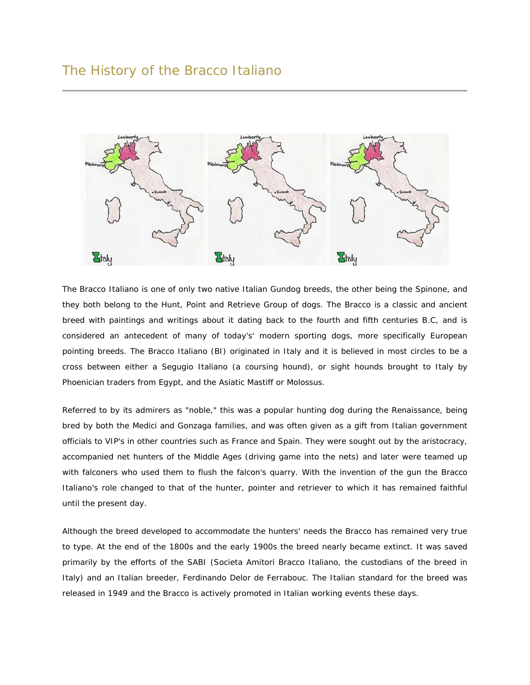

The Bracco Italiano is one of only two native Italian Gundog breeds, the other being the Spinone, and they both belong to the Hunt, Point and Retrieve Group of dogs. The Bracco is a classic and ancient breed with paintings and writings about it dating back to the fourth and fifth centuries B.C, and is considered an antecedent of many of today's' modern sporting dogs, more specifically European pointing breeds. The Bracco Italiano (BI) originated in Italy and it is believed in most circles to be a cross between either a Segugio Italiano (a coursing hound), or sight hounds brought to Italy by Phoenician traders from Egypt, and the Asiatic Mastiff or Molossus.

Referred to by its admirers as "noble," this was a popular hunting dog during the Renaissance, being bred by both the Medici and Gonzaga families, and was often given as a gift from Italian government officials to VIP's in other countries such as France and Spain. They were sought out by the aristocracy, accompanied net hunters of the Middle Ages (driving game into the nets) and later were teamed up with falconers who used them to flush the falcon's quarry. With the invention of the gun the Bracco Italiano's role changed to that of the hunter, pointer and retriever to which it has remained faithful until the present day.

Although the breed developed to accommodate the hunters' needs the Bracco has remained very true to type. At the end of the 1800s and the early 1900s the breed nearly became extinct. It was saved primarily by the efforts of the SABI (Societa Amitori Bracco Italiano, the custodians of the breed in Italy) and an Italian breeder, Ferdinando Delor de Ferrabouc. The Italian standard for the breed was released in 1949 and the Bracco is actively promoted in Italian working events these days.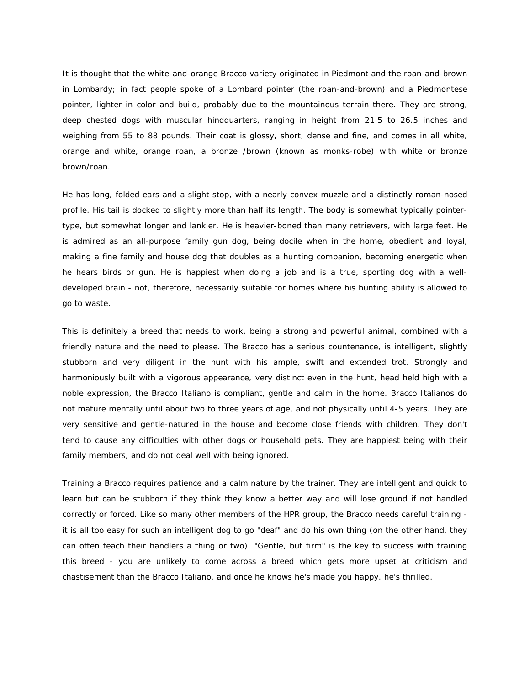It is thought that the white-and-orange Bracco variety originated in Piedmont and the roan-and-brown in Lombardy; in fact people spoke of a Lombard pointer (the roan-and-brown) and a Piedmontese pointer, lighter in color and build, probably due to the mountainous terrain there. They are strong, deep chested dogs with muscular hindquarters, ranging in height from 21.5 to 26.5 inches and weighing from 55 to 88 pounds. Their coat is glossy, short, dense and fine, and comes in all white, orange and white, orange roan, a bronze /brown (known as monks-robe) with white or bronze brown/roan.

He has long, folded ears and a slight stop, with a nearly convex muzzle and a distinctly roman-nosed profile. His tail is docked to slightly more than half its length. The body is somewhat typically pointertype, but somewhat longer and lankier. He is heavier-boned than many retrievers, with large feet. He is admired as an all-purpose family gun dog, being docile when in the home, obedient and loyal, making a fine family and house dog that doubles as a hunting companion, becoming energetic when he hears birds or gun. He is happiest when doing a job and is a true, sporting dog with a welldeveloped brain - not, therefore, necessarily suitable for homes where his hunting ability is allowed to go to waste.

This is definitely a breed that needs to work, being a strong and powerful animal, combined with a friendly nature and the need to please. The Bracco has a serious countenance, is intelligent, slightly stubborn and very diligent in the hunt with his ample, swift and extended trot. Strongly and harmoniously built with a vigorous appearance, very distinct even in the hunt, head held high with a noble expression, the Bracco Italiano is compliant, gentle and calm in the home. Bracco Italianos do not mature mentally until about two to three years of age, and not physically until 4-5 years. They are very sensitive and gentle-natured in the house and become close friends with children. They don't tend to cause any difficulties with other dogs or household pets. They are happiest being with their family members, and do not deal well with being ignored.

Training a Bracco requires patience and a calm nature by the trainer. They are intelligent and quick to learn but can be stubborn if they think they know a better way and will lose ground if not handled correctly or forced. Like so many other members of the HPR group, the Bracco needs careful training it is all too easy for such an intelligent dog to go "deaf" and do his own thing (on the other hand, they can often teach their handlers a thing or two). "Gentle, but firm" is the key to success with training this breed - you are unlikely to come across a breed which gets more upset at criticism and chastisement than the Bracco Italiano, and once he knows he's made you happy, he's thrilled.